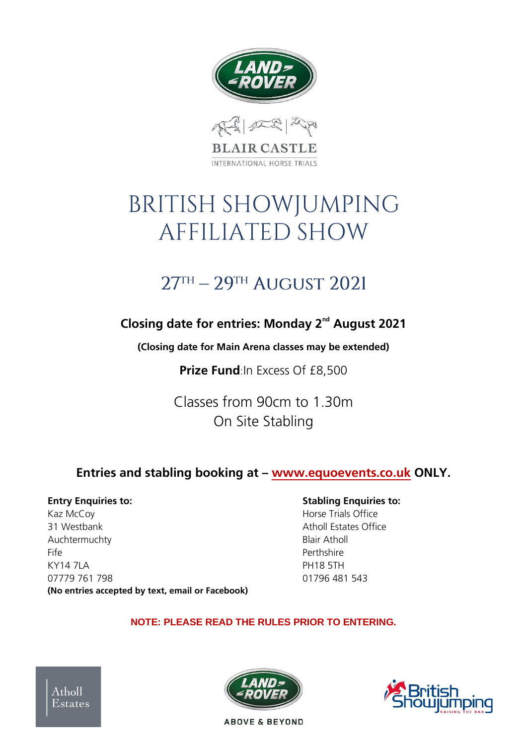



# **BRITISH SHOWJUMPING** AFFILIATED SHOW

# $27<sup>TH</sup> - 29<sup>TH</sup>$  AUGUST 2021

# **Closing date for entries: Monday 2nd August 2021**

**(Closing date for Main Arena classes may be extended)** 

**Prize Fund:In Excess Of £8,500** 

Classes from 90cm to 1.30m On Site Stabling

# **Entries and stabling booking at – www.equoevents.co.uk ONLY.**

Kaz McCov **Horse Trials Office** 31 Westbank **Atholl Estates Office Atholl Estates Office** Auchtermuchty **Blair Atholl** Fife Perthshire KY14 7LA PH18 5TH 07779 761 798 01796 481 543 **(No entries accepted by text, email or Facebook)**

#### **Entry Enquiries to: Entry Enquiries to: Stabling Enquiries to:**

#### **NOTE: PLEASE READ THE RULES PRIOR TO ENTERING.**





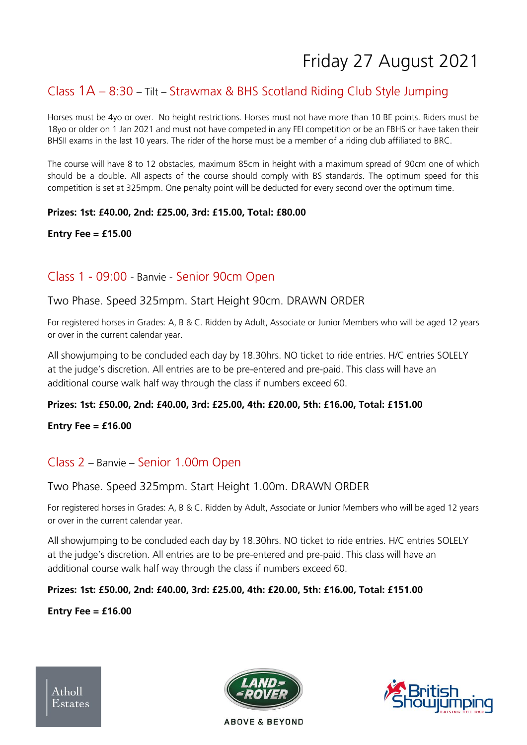# Friday 27 August 2021

# Class 1A – 8:30 – Tilt – Strawmax & BHS Scotland Riding Club Style Jumping

Horses must be 4yo or over. No height restrictions. Horses must not have more than 10 BE points. Riders must be 18yo or older on 1 Jan 2021 and must not have competed in any FEI competition or be an FBHS or have taken their BHSII exams in the last 10 years. The rider of the horse must be a member of a riding club affiliated to BRC.

The course will have 8 to 12 obstacles, maximum 85cm in height with a maximum spread of 90cm one of which should be a double. All aspects of the course should comply with BS standards. The optimum speed for this competition is set at 325mpm. One penalty point will be deducted for every second over the optimum time.

#### **Prizes: 1st: £40.00, 2nd: £25.00, 3rd: £15.00, Total: £80.00**

#### **Entry Fee = £15.00**

### Class 1 - 09:00 - Banvie - Senior 90cm Open

#### Two Phase. Speed 325mpm. Start Height 90cm. DRAWN ORDER

For registered horses in Grades: A, B & C. Ridden by Adult, Associate or Junior Members who will be aged 12 years or over in the current calendar year.

All showjumping to be concluded each day by 18.30hrs. NO ticket to ride entries. H/C entries SOLELY at the judge's discretion. All entries are to be pre-entered and pre-paid. This class will have an additional course walk half way through the class if numbers exceed 60.

#### **Prizes: 1st: £50.00, 2nd: £40.00, 3rd: £25.00, 4th: £20.00, 5th: £16.00, Total: £151.00**

**Entry Fee = £16.00**

#### Class 2 – Banvie – Senior 1.00m Open

#### Two Phase. Speed 325mpm. Start Height 1.00m. DRAWN ORDER

For registered horses in Grades: A, B & C. Ridden by Adult, Associate or Junior Members who will be aged 12 years or over in the current calendar year.

All showjumping to be concluded each day by 18.30hrs. NO ticket to ride entries. H/C entries SOLELY at the judge's discretion. All entries are to be pre-entered and pre-paid. This class will have an additional course walk half way through the class if numbers exceed 60.

#### **Prizes: 1st: £50.00, 2nd: £40.00, 3rd: £25.00, 4th: £20.00, 5th: £16.00, Total: £151.00**

#### **Entry Fee = £16.00**



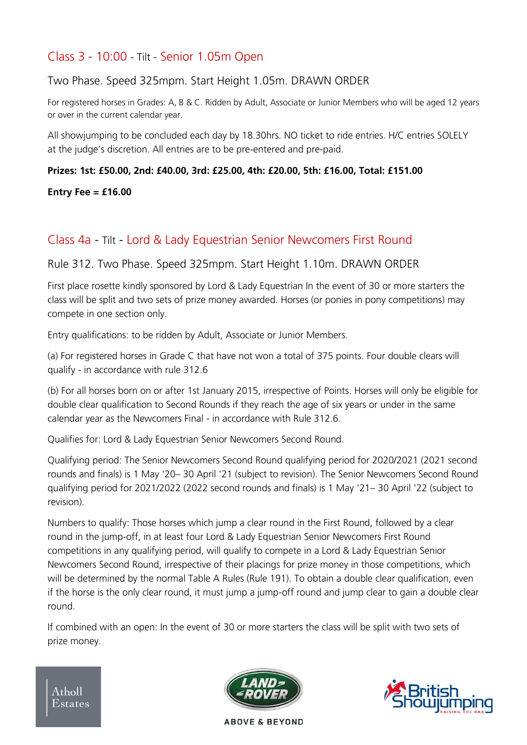# Class 3 - 10:00 - Tilt - Senior 1.05m Open

Two Phase. Speed 325mpm. Start Height 1.05m. DRAWN ORDER

For registered horses in Grades: A, B & C. Ridden by Adult, Associate or Junior Members who will be aged 12 years or over in the current calendar year.

All showjumping to be concluded each day by 18.30hrs. NO ticket to ride entries. H/C entries SOLELY at the judge's discretion. All entries are to be pre-entered and pre-paid.

#### **Prizes: 1st: £50.00, 2nd: £40.00, 3rd: £25.00, 4th: £20.00, 5th: £16.00, Total: £151.00**

**Entry Fee = £16.00**

# Class 4a - Tilt - Lord & Lady Equestrian Senior Newcomers First Round

Rule 312. Two Phase. Speed 325mpm. Start Height 1.10m. DRAWN ORDER

First place rosette kindly sponsored by Lord & Lady Equestrian In the event of 30 or more starters the class will be split and two sets of prize money awarded. Horses (or ponies in pony competitions) may compete in one section only.

Entry qualifications: to be ridden by Adult, Associate or Junior Members.

(a) For registered horses in Grade C that have not won a total of 375 points. Four double clears will qualify - in accordance with rule 312.6

(b) For all horses born on or after 1st January 2015, irrespective of Points. Horses will only be eligible for double clear qualification to Second Rounds if they reach the age of six years or under in the same calendar year as the Newcomers Final - in accordance with Rule 312.6.

Qualifies for: Lord & Lady Equestrian Senior Newcomers Second Round.

Qualifying period: The Senior Newcomers Second Round qualifying period for 2020/2021 (2021 second rounds and finals) is 1 May '20– 30 April '21 (subject to revision). The Senior Newcomers Second Round qualifying period for 2021/2022 (2022 second rounds and finals) is 1 May '21– 30 April '22 (subject to revision).

Numbers to qualify: Those horses which jump a clear round in the First Round, followed by a clear round in the jump-off, in at least four Lord & Lady Equestrian Senior Newcomers First Round competitions in any qualifying period, will qualify to compete in a Lord & Lady Equestrian Senior Newcomers Second Round, irrespective of their placings for prize money in those competitions, which will be determined by the normal Table A Rules (Rule 191). To obtain a double clear qualification, even if the horse is the only clear round, it must jump a jump-off round and jump clear to gain a double clear round.

If combined with an open: In the event of 30 or more starters the class will be split with two sets of prize money.

 $A<sub>thol</sub>$ Estates





**ABOVE & BEYOND**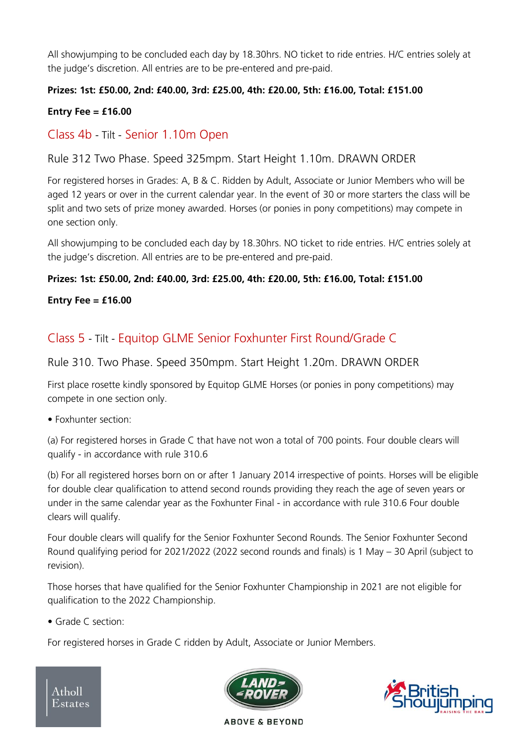All showjumping to be concluded each day by 18.30hrs. NO ticket to ride entries. H/C entries solely at the judge's discretion. All entries are to be pre-entered and pre-paid.

#### **Prizes: 1st: £50.00, 2nd: £40.00, 3rd: £25.00, 4th: £20.00, 5th: £16.00, Total: £151.00**

#### **Entry Fee = £16.00**

# Class 4b - Tilt - Senior 1.10m Open

Rule 312 Two Phase. Speed 325mpm. Start Height 1.10m. DRAWN ORDER

For registered horses in Grades: A, B & C. Ridden by Adult, Associate or Junior Members who will be aged 12 years or over in the current calendar year. In the event of 30 or more starters the class will be split and two sets of prize money awarded. Horses (or ponies in pony competitions) may compete in one section only.

All showjumping to be concluded each day by 18.30hrs. NO ticket to ride entries. H/C entries solely at the judge's discretion. All entries are to be pre-entered and pre-paid.

#### **Prizes: 1st: £50.00, 2nd: £40.00, 3rd: £25.00, 4th: £20.00, 5th: £16.00, Total: £151.00**

#### **Entry Fee = £16.00**

# Class 5 - Tilt - Equitop GLME Senior Foxhunter First Round/Grade C

Rule 310. Two Phase. Speed 350mpm. Start Height 1.20m. DRAWN ORDER

First place rosette kindly sponsored by Equitop GLME Horses (or ponies in pony competitions) may compete in one section only.

• Foxhunter section:

(a) For registered horses in Grade C that have not won a total of 700 points. Four double clears will qualify - in accordance with rule 310.6

(b) For all registered horses born on or after 1 January 2014 irrespective of points. Horses will be eligible for double clear qualification to attend second rounds providing they reach the age of seven years or under in the same calendar year as the Foxhunter Final - in accordance with rule 310.6 Four double clears will qualify.

Four double clears will qualify for the Senior Foxhunter Second Rounds. The Senior Foxhunter Second Round qualifying period for 2021/2022 (2022 second rounds and finals) is 1 May – 30 April (subject to revision).

Those horses that have qualified for the Senior Foxhunter Championship in 2021 are not eligible for qualification to the 2022 Championship.

• Grade C section:

For registered horses in Grade C ridden by Adult, Associate or Junior Members.

Atholl Estates



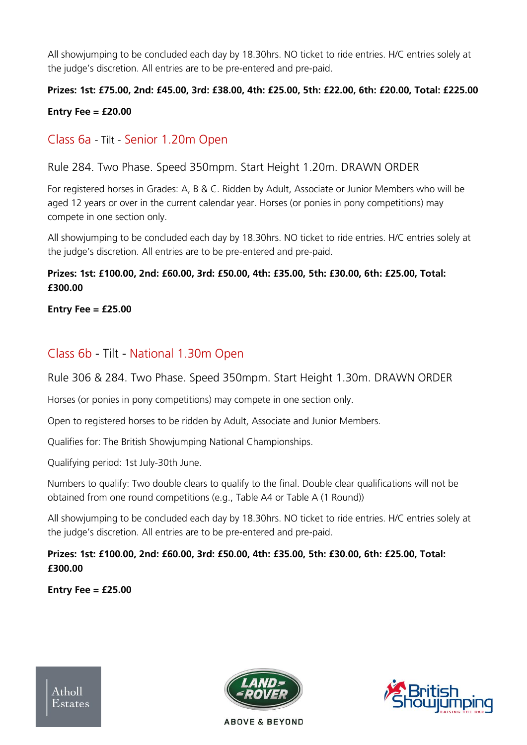All showjumping to be concluded each day by 18.30hrs. NO ticket to ride entries. H/C entries solely at the judge's discretion. All entries are to be pre-entered and pre-paid.

# **Prizes: 1st: £75.00, 2nd: £45.00, 3rd: £38.00, 4th: £25.00, 5th: £22.00, 6th: £20.00, Total: £225.00**

#### **Entry Fee = £20.00**

# Class 6a - Tilt - Senior 1.20m Open

Rule 284. Two Phase. Speed 350mpm. Start Height 1.20m. DRAWN ORDER

For registered horses in Grades: A, B & C. Ridden by Adult, Associate or Junior Members who will be aged 12 years or over in the current calendar year. Horses (or ponies in pony competitions) may compete in one section only.

All showjumping to be concluded each day by 18.30hrs. NO ticket to ride entries. H/C entries solely at the judge's discretion. All entries are to be pre-entered and pre-paid.

#### **Prizes: 1st: £100.00, 2nd: £60.00, 3rd: £50.00, 4th: £35.00, 5th: £30.00, 6th: £25.00, Total: £300.00**

**Entry Fee = £25.00**

# Class 6b - Tilt - National 1.30m Open

Rule 306 & 284. Two Phase. Speed 350mpm. Start Height 1.30m. DRAWN ORDER

Horses (or ponies in pony competitions) may compete in one section only.

Open to registered horses to be ridden by Adult, Associate and Junior Members.

Qualifies for: The British Showjumping National Championships.

Qualifying period: 1st July-30th June.

Numbers to qualify: Two double clears to qualify to the final. Double clear qualifications will not be obtained from one round competitions (e.g., Table A4 or Table A (1 Round))

All showjumping to be concluded each day by 18.30hrs. NO ticket to ride entries. H/C entries solely at the judge's discretion. All entries are to be pre-entered and pre-paid.

#### **Prizes: 1st: £100.00, 2nd: £60.00, 3rd: £50.00, 4th: £35.00, 5th: £30.00, 6th: £25.00, Total: £300.00**

**Entry Fee = £25.00**





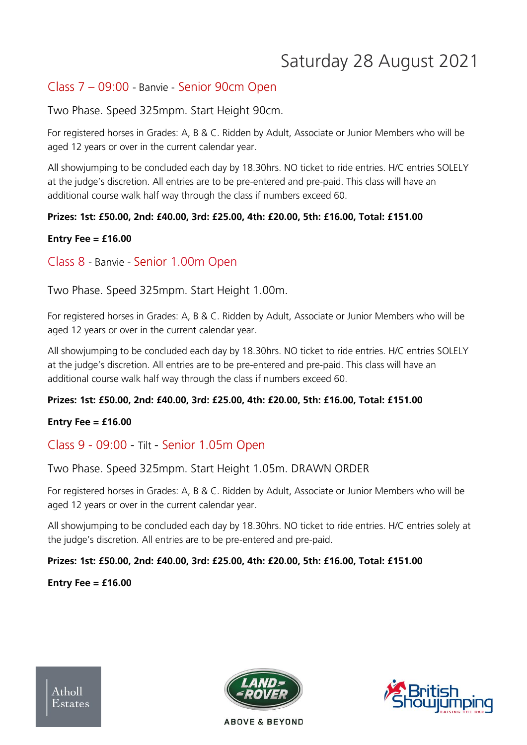# Saturday 28 August 2021

# Class 7 – 09:00 - Banvie - Senior 90cm Open

Two Phase. Speed 325mpm. Start Height 90cm.

For registered horses in Grades: A, B & C. Ridden by Adult, Associate or Junior Members who will be aged 12 years or over in the current calendar year.

All showjumping to be concluded each day by 18.30hrs. NO ticket to ride entries. H/C entries SOLELY at the judge's discretion. All entries are to be pre-entered and pre-paid. This class will have an additional course walk half way through the class if numbers exceed 60.

#### **Prizes: 1st: £50.00, 2nd: £40.00, 3rd: £25.00, 4th: £20.00, 5th: £16.00, Total: £151.00**

#### **Entry Fee = £16.00**

Class 8 - Banvie - Senior 1.00m Open

Two Phase. Speed 325mpm. Start Height 1.00m.

For registered horses in Grades: A, B & C. Ridden by Adult, Associate or Junior Members who will be aged 12 years or over in the current calendar year.

All showjumping to be concluded each day by 18.30hrs. NO ticket to ride entries. H/C entries SOLELY at the judge's discretion. All entries are to be pre-entered and pre-paid. This class will have an additional course walk half way through the class if numbers exceed 60.

#### **Prizes: 1st: £50.00, 2nd: £40.00, 3rd: £25.00, 4th: £20.00, 5th: £16.00, Total: £151.00**

#### **Entry Fee = £16.00**

# Class 9 - 09:00 - Tilt - Senior 1.05m Open

Two Phase. Speed 325mpm. Start Height 1.05m. DRAWN ORDER

For registered horses in Grades: A, B & C. Ridden by Adult, Associate or Junior Members who will be aged 12 years or over in the current calendar year.

All showjumping to be concluded each day by 18.30hrs. NO ticket to ride entries. H/C entries solely at the judge's discretion. All entries are to be pre-entered and pre-paid.

#### **Prizes: 1st: £50.00, 2nd: £40.00, 3rd: £25.00, 4th: £20.00, 5th: £16.00, Total: £151.00**

#### **Entry Fee = £16.00**



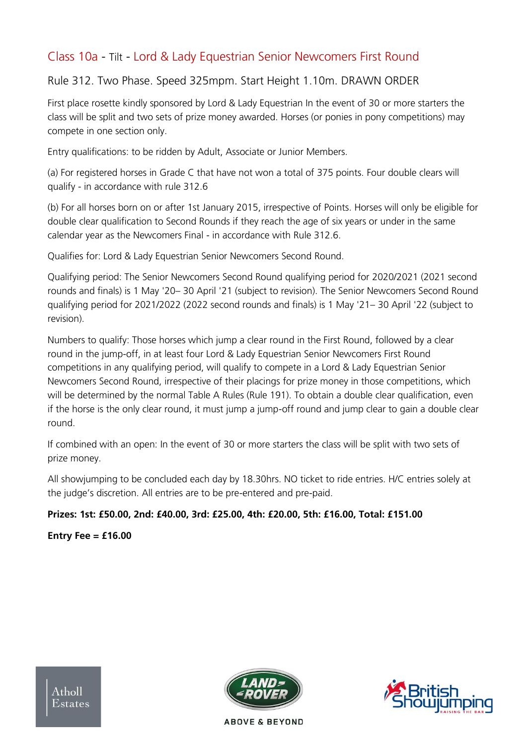# Class 10a - Tilt - Lord & Lady Equestrian Senior Newcomers First Round

### Rule 312. Two Phase. Speed 325mpm. Start Height 1.10m. DRAWN ORDER

First place rosette kindly sponsored by Lord & Lady Equestrian In the event of 30 or more starters the class will be split and two sets of prize money awarded. Horses (or ponies in pony competitions) may compete in one section only.

Entry qualifications: to be ridden by Adult, Associate or Junior Members.

(a) For registered horses in Grade C that have not won a total of 375 points. Four double clears will qualify - in accordance with rule 312.6

(b) For all horses born on or after 1st January 2015, irrespective of Points. Horses will only be eligible for double clear qualification to Second Rounds if they reach the age of six years or under in the same calendar year as the Newcomers Final - in accordance with Rule 312.6.

Qualifies for: Lord & Lady Equestrian Senior Newcomers Second Round.

Qualifying period: The Senior Newcomers Second Round qualifying period for 2020/2021 (2021 second rounds and finals) is 1 May '20– 30 April '21 (subject to revision). The Senior Newcomers Second Round qualifying period for 2021/2022 (2022 second rounds and finals) is 1 May '21– 30 April '22 (subject to revision).

Numbers to qualify: Those horses which jump a clear round in the First Round, followed by a clear round in the jump-off, in at least four Lord & Lady Equestrian Senior Newcomers First Round competitions in any qualifying period, will qualify to compete in a Lord & Lady Equestrian Senior Newcomers Second Round, irrespective of their placings for prize money in those competitions, which will be determined by the normal Table A Rules (Rule 191). To obtain a double clear qualification, even if the horse is the only clear round, it must jump a jump-off round and jump clear to gain a double clear round.

If combined with an open: In the event of 30 or more starters the class will be split with two sets of prize money.

All showjumping to be concluded each day by 18.30hrs. NO ticket to ride entries. H/C entries solely at the judge's discretion. All entries are to be pre-entered and pre-paid.

#### **Prizes: 1st: £50.00, 2nd: £40.00, 3rd: £25.00, 4th: £20.00, 5th: £16.00, Total: £151.00**

**Entry Fee = £16.00**

 $A<sub>thol</sub>$ Estates



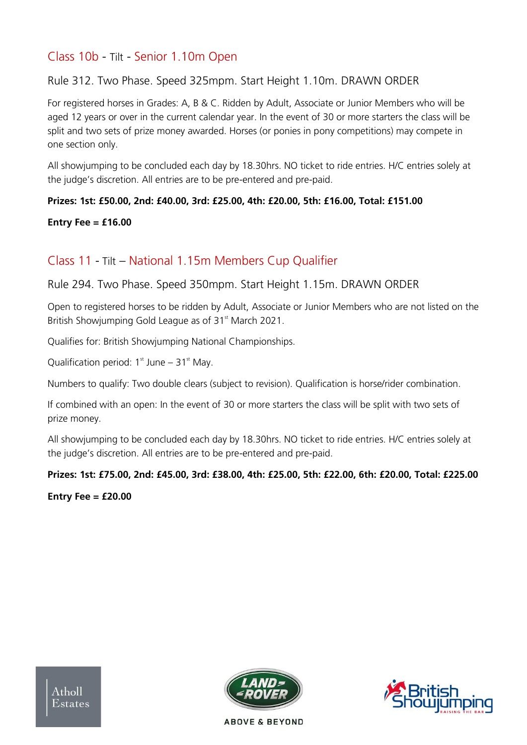# Class 10b - Tilt - Senior 1.10m Open

#### Rule 312. Two Phase. Speed 325mpm. Start Height 1.10m. DRAWN ORDER

For registered horses in Grades: A, B & C. Ridden by Adult, Associate or Junior Members who will be aged 12 years or over in the current calendar year. In the event of 30 or more starters the class will be split and two sets of prize money awarded. Horses (or ponies in pony competitions) may compete in one section only.

All showjumping to be concluded each day by 18.30hrs. NO ticket to ride entries. H/C entries solely at the judge's discretion. All entries are to be pre-entered and pre-paid.

#### **Prizes: 1st: £50.00, 2nd: £40.00, 3rd: £25.00, 4th: £20.00, 5th: £16.00, Total: £151.00**

#### **Entry Fee = £16.00**

# Class 11 - Tilt – National 1.15m Members Cup Qualifier

#### Rule 294. Two Phase. Speed 350mpm. Start Height 1.15m. DRAWN ORDER

Open to registered horses to be ridden by Adult, Associate or Junior Members who are not listed on the British Showiumping Gold League as of 31<sup>st</sup> March 2021.

Qualifies for: British Showjumping National Championships.

Qualification period:  $1<sup>st</sup>$  June –  $31<sup>st</sup>$  May.

Numbers to qualify: Two double clears (subject to revision). Qualification is horse/rider combination.

If combined with an open: In the event of 30 or more starters the class will be split with two sets of prize money.

All showjumping to be concluded each day by 18.30hrs. NO ticket to ride entries. H/C entries solely at the judge's discretion. All entries are to be pre-entered and pre-paid.

#### **Prizes: 1st: £75.00, 2nd: £45.00, 3rd: £38.00, 4th: £25.00, 5th: £22.00, 6th: £20.00, Total: £225.00**

**Entry Fee = £20.00**



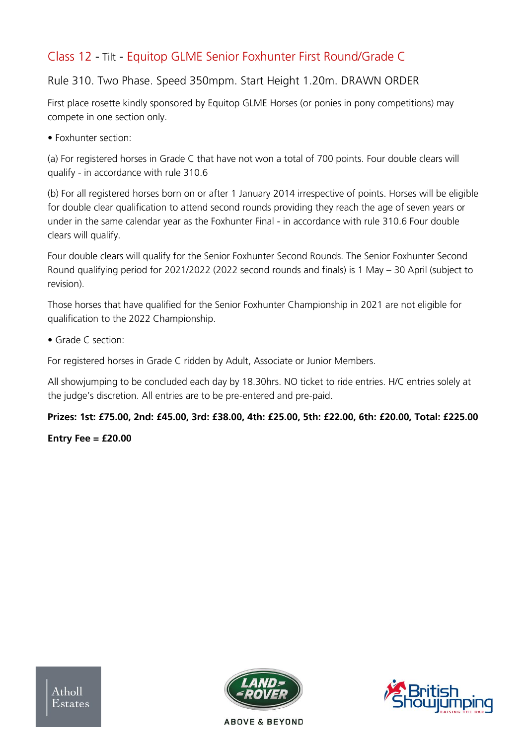# Class 12 - Tilt - Equitop GLME Senior Foxhunter First Round/Grade C

# Rule 310. Two Phase. Speed 350mpm. Start Height 1.20m. DRAWN ORDER

First place rosette kindly sponsored by Equitop GLME Horses (or ponies in pony competitions) may compete in one section only.

• Foxhunter section:

(a) For registered horses in Grade C that have not won a total of 700 points. Four double clears will qualify - in accordance with rule 310.6

(b) For all registered horses born on or after 1 January 2014 irrespective of points. Horses will be eligible for double clear qualification to attend second rounds providing they reach the age of seven years or under in the same calendar year as the Foxhunter Final - in accordance with rule 310.6 Four double clears will qualify.

Four double clears will qualify for the Senior Foxhunter Second Rounds. The Senior Foxhunter Second Round qualifying period for 2021/2022 (2022 second rounds and finals) is 1 May – 30 April (subject to revision).

Those horses that have qualified for the Senior Foxhunter Championship in 2021 are not eligible for qualification to the 2022 Championship.

• Grade C section:

For registered horses in Grade C ridden by Adult, Associate or Junior Members.

All showjumping to be concluded each day by 18.30hrs. NO ticket to ride entries. H/C entries solely at the judge's discretion. All entries are to be pre-entered and pre-paid.

#### **Prizes: 1st: £75.00, 2nd: £45.00, 3rd: £38.00, 4th: £25.00, 5th: £22.00, 6th: £20.00, Total: £225.00**

#### **Entry Fee = £20.00**



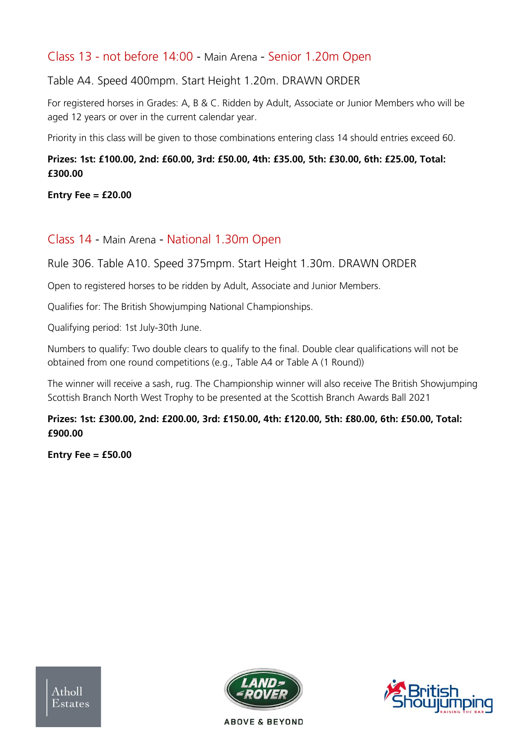# Class 13 - not before 14:00 - Main Arena - Senior 1.20m Open

Table A4. Speed 400mpm. Start Height 1.20m. DRAWN ORDER

For registered horses in Grades: A, B & C. Ridden by Adult, Associate or Junior Members who will be aged 12 years or over in the current calendar year.

Priority in this class will be given to those combinations entering class 14 should entries exceed 60.

#### **Prizes: 1st: £100.00, 2nd: £60.00, 3rd: £50.00, 4th: £35.00, 5th: £30.00, 6th: £25.00, Total: £300.00**

#### **Entry Fee = £20.00**

#### Class 14 - Main Arena - National 1.30m Open

Rule 306. Table A10. Speed 375mpm. Start Height 1.30m. DRAWN ORDER

Open to registered horses to be ridden by Adult, Associate and Junior Members.

Qualifies for: The British Showjumping National Championships.

Qualifying period: 1st July-30th June.

Numbers to qualify: Two double clears to qualify to the final. Double clear qualifications will not be obtained from one round competitions (e.g., Table A4 or Table A (1 Round))

The winner will receive a sash, rug. The Championship winner will also receive The British Showjumping Scottish Branch North West Trophy to be presented at the Scottish Branch Awards Ball 2021

#### **Prizes: 1st: £300.00, 2nd: £200.00, 3rd: £150.00, 4th: £120.00, 5th: £80.00, 6th: £50.00, Total: £900.00**

**Entry Fee = £50.00**





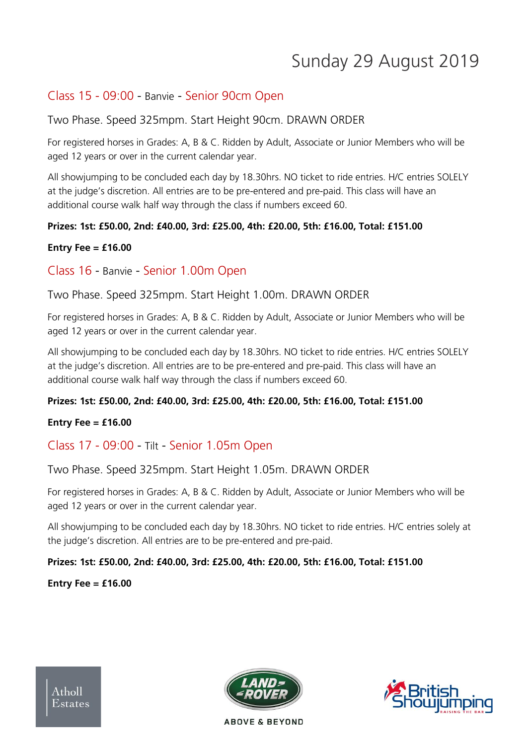# Sunday 29 August 2019

### Class 15 - 09:00 - Banvie - Senior 90cm Open

#### Two Phase. Speed 325mpm. Start Height 90cm. DRAWN ORDER

For registered horses in Grades: A, B & C. Ridden by Adult, Associate or Junior Members who will be aged 12 years or over in the current calendar year.

All showjumping to be concluded each day by 18.30hrs. NO ticket to ride entries. H/C entries SOLELY at the judge's discretion. All entries are to be pre-entered and pre-paid. This class will have an additional course walk half way through the class if numbers exceed 60.

#### **Prizes: 1st: £50.00, 2nd: £40.00, 3rd: £25.00, 4th: £20.00, 5th: £16.00, Total: £151.00**

#### **Entry Fee = £16.00**

#### Class 16 - Banvie - Senior 1.00m Open

#### Two Phase. Speed 325mpm. Start Height 1.00m. DRAWN ORDER

For registered horses in Grades: A, B & C. Ridden by Adult, Associate or Junior Members who will be aged 12 years or over in the current calendar year.

All showjumping to be concluded each day by 18.30hrs. NO ticket to ride entries. H/C entries SOLELY at the judge's discretion. All entries are to be pre-entered and pre-paid. This class will have an additional course walk half way through the class if numbers exceed 60.

#### **Prizes: 1st: £50.00, 2nd: £40.00, 3rd: £25.00, 4th: £20.00, 5th: £16.00, Total: £151.00**

#### **Entry Fee = £16.00**

# Class 17 - 09:00 - Tilt - Senior 1.05m Open

Two Phase. Speed 325mpm. Start Height 1.05m. DRAWN ORDER

For registered horses in Grades: A, B & C. Ridden by Adult, Associate or Junior Members who will be aged 12 years or over in the current calendar year.

All showjumping to be concluded each day by 18.30hrs. NO ticket to ride entries. H/C entries solely at the judge's discretion. All entries are to be pre-entered and pre-paid.

#### **Prizes: 1st: £50.00, 2nd: £40.00, 3rd: £25.00, 4th: £20.00, 5th: £16.00, Total: £151.00**

#### **Entry Fee = £16.00**



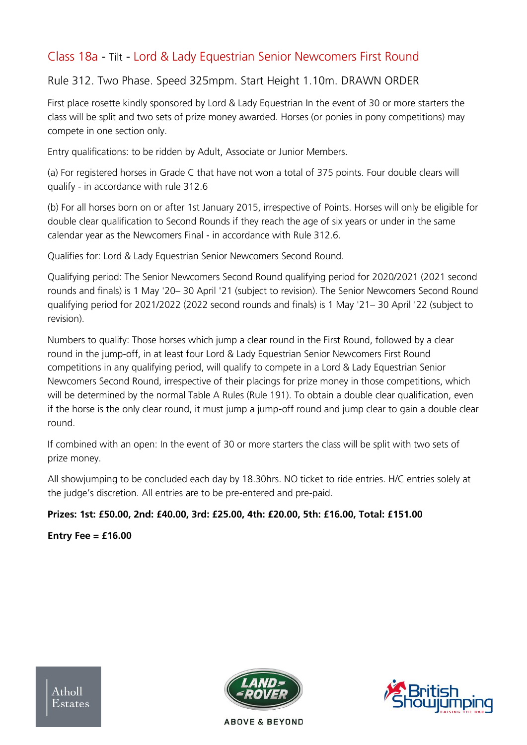# Class 18a - Tilt - Lord & Lady Equestrian Senior Newcomers First Round

### Rule 312. Two Phase. Speed 325mpm. Start Height 1.10m. DRAWN ORDER

First place rosette kindly sponsored by Lord & Lady Equestrian In the event of 30 or more starters the class will be split and two sets of prize money awarded. Horses (or ponies in pony competitions) may compete in one section only.

Entry qualifications: to be ridden by Adult, Associate or Junior Members.

(a) For registered horses in Grade C that have not won a total of 375 points. Four double clears will qualify - in accordance with rule 312.6

(b) For all horses born on or after 1st January 2015, irrespective of Points. Horses will only be eligible for double clear qualification to Second Rounds if they reach the age of six years or under in the same calendar year as the Newcomers Final - in accordance with Rule 312.6.

Qualifies for: Lord & Lady Equestrian Senior Newcomers Second Round.

Qualifying period: The Senior Newcomers Second Round qualifying period for 2020/2021 (2021 second rounds and finals) is 1 May '20– 30 April '21 (subject to revision). The Senior Newcomers Second Round qualifying period for 2021/2022 (2022 second rounds and finals) is 1 May '21– 30 April '22 (subject to revision).

Numbers to qualify: Those horses which jump a clear round in the First Round, followed by a clear round in the jump-off, in at least four Lord & Lady Equestrian Senior Newcomers First Round competitions in any qualifying period, will qualify to compete in a Lord & Lady Equestrian Senior Newcomers Second Round, irrespective of their placings for prize money in those competitions, which will be determined by the normal Table A Rules (Rule 191). To obtain a double clear qualification, even if the horse is the only clear round, it must jump a jump-off round and jump clear to gain a double clear round.

If combined with an open: In the event of 30 or more starters the class will be split with two sets of prize money.

All showjumping to be concluded each day by 18.30hrs. NO ticket to ride entries. H/C entries solely at the judge's discretion. All entries are to be pre-entered and pre-paid.

#### **Prizes: 1st: £50.00, 2nd: £40.00, 3rd: £25.00, 4th: £20.00, 5th: £16.00, Total: £151.00**

**Entry Fee = £16.00**

 $A<sub>thol</sub>$ Estates



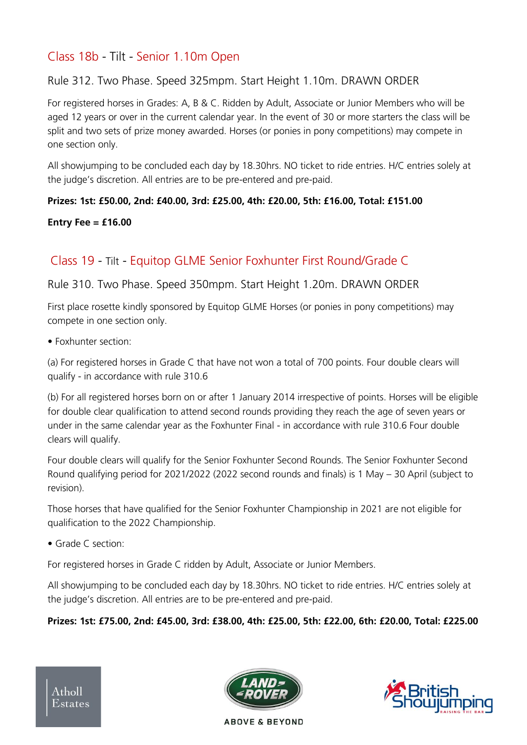# Class 18b - Tilt - Senior 1.10m Open

#### Rule 312. Two Phase. Speed 325mpm. Start Height 1.10m. DRAWN ORDER

For registered horses in Grades: A, B & C. Ridden by Adult, Associate or Junior Members who will be aged 12 years or over in the current calendar year. In the event of 30 or more starters the class will be split and two sets of prize money awarded. Horses (or ponies in pony competitions) may compete in one section only.

All showjumping to be concluded each day by 18.30hrs. NO ticket to ride entries. H/C entries solely at the judge's discretion. All entries are to be pre-entered and pre-paid.

#### **Prizes: 1st: £50.00, 2nd: £40.00, 3rd: £25.00, 4th: £20.00, 5th: £16.00, Total: £151.00**

#### **Entry Fee = £16.00**

# Class 19 - Tilt - Equitop GLME Senior Foxhunter First Round/Grade C

#### Rule 310. Two Phase. Speed 350mpm. Start Height 1.20m. DRAWN ORDER

First place rosette kindly sponsored by Equitop GLME Horses (or ponies in pony competitions) may compete in one section only.

• Foxhunter section:

(a) For registered horses in Grade C that have not won a total of 700 points. Four double clears will qualify - in accordance with rule 310.6

(b) For all registered horses born on or after 1 January 2014 irrespective of points. Horses will be eligible for double clear qualification to attend second rounds providing they reach the age of seven years or under in the same calendar year as the Foxhunter Final - in accordance with rule 310.6 Four double clears will qualify.

Four double clears will qualify for the Senior Foxhunter Second Rounds. The Senior Foxhunter Second Round qualifying period for 2021/2022 (2022 second rounds and finals) is 1 May – 30 April (subject to revision).

Those horses that have qualified for the Senior Foxhunter Championship in 2021 are not eligible for qualification to the 2022 Championship.

• Grade C section:

For registered horses in Grade C ridden by Adult, Associate or Junior Members.

All showjumping to be concluded each day by 18.30hrs. NO ticket to ride entries. H/C entries solely at the judge's discretion. All entries are to be pre-entered and pre-paid.

#### **Prizes: 1st: £75.00, 2nd: £45.00, 3rd: £38.00, 4th: £25.00, 5th: £22.00, 6th: £20.00, Total: £225.00**



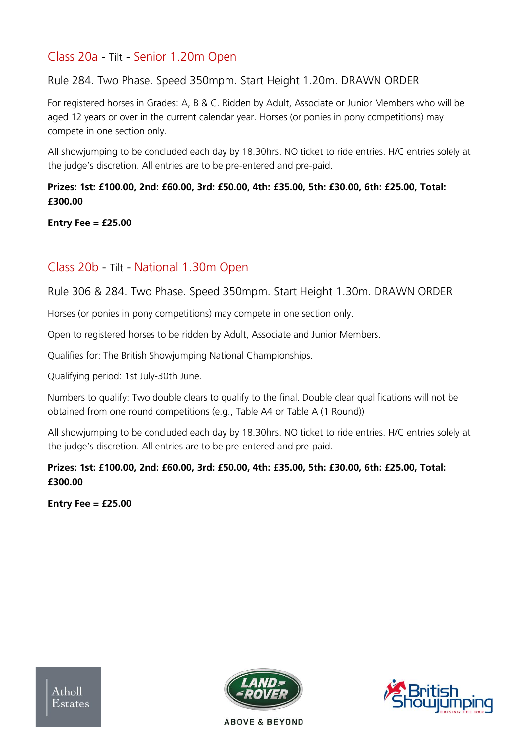# Class 20a - Tilt - Senior 1.20m Open

Rule 284. Two Phase. Speed 350mpm. Start Height 1.20m. DRAWN ORDER

For registered horses in Grades: A, B & C. Ridden by Adult, Associate or Junior Members who will be aged 12 years or over in the current calendar year. Horses (or ponies in pony competitions) may compete in one section only.

All showjumping to be concluded each day by 18.30hrs. NO ticket to ride entries. H/C entries solely at the judge's discretion. All entries are to be pre-entered and pre-paid.

#### **Prizes: 1st: £100.00, 2nd: £60.00, 3rd: £50.00, 4th: £35.00, 5th: £30.00, 6th: £25.00, Total: £300.00**

**Entry Fee = £25.00**

# Class 20b - Tilt - National 1.30m Open

Rule 306 & 284. Two Phase. Speed 350mpm. Start Height 1.30m. DRAWN ORDER

Horses (or ponies in pony competitions) may compete in one section only.

Open to registered horses to be ridden by Adult, Associate and Junior Members.

Qualifies for: The British Showjumping National Championships.

Qualifying period: 1st July-30th June.

Numbers to qualify: Two double clears to qualify to the final. Double clear qualifications will not be obtained from one round competitions (e.g., Table A4 or Table A (1 Round))

All showjumping to be concluded each day by 18.30hrs. NO ticket to ride entries. H/C entries solely at the judge's discretion. All entries are to be pre-entered and pre-paid.

#### **Prizes: 1st: £100.00, 2nd: £60.00, 3rd: £50.00, 4th: £35.00, 5th: £30.00, 6th: £25.00, Total: £300.00**

**Entry Fee = £25.00**





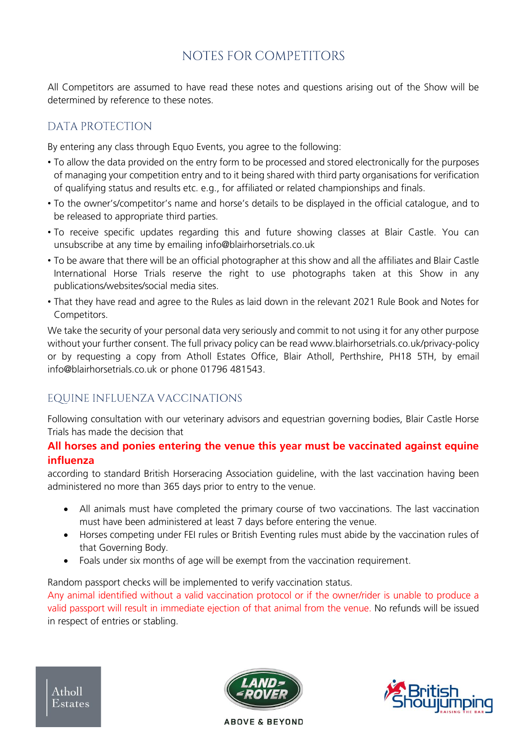# NOTES FOR COMPETITORS

All Competitors are assumed to have read these notes and questions arising out of the Show will be determined by reference to these notes.

### DATA PROTECTION

By entering any class through Equo Events, you agree to the following:

- To allow the data provided on the entry form to be processed and stored electronically for the purposes of managing your competition entry and to it being shared with third party organisations for verification of qualifying status and results etc. e.g., for affiliated or related championships and finals.
- To the owner's/competitor's name and horse's details to be displayed in the official catalogue, and to be released to appropriate third parties.
- To receive specific updates regarding this and future showing classes at Blair Castle. You can unsubscribe at any time by emailing [info@blairhorsetrials.co.uk](about:blank)
- To be aware that there will be an official photographer at this show and all the affiliates and Blair Castle International Horse Trials reserve the right to use photographs taken at this Show in any publications/websites/social media sites.
- That they have read and agree to the Rules as laid down in the relevant 2021 Rule Book and Notes for Competitors.

We take the security of your personal data very seriously and commit to not using it for any other purpose without your further consent. The full privacy policy can be read [www.blairhorsetrials.co.uk/privacy-policy](about:blank)  or by requesting a copy from Atholl Estates Office, Blair Atholl, Perthshire, PH18 5TH, by email info@blairhorsetrials.co.uk or phone 01796 481543.

# EQUINE INFLUENZA VACCINATIONS

Following consultation with our veterinary advisors and equestrian governing bodies, Blair Castle Horse Trials has made the decision that

#### **All horses and ponies entering the venue this year must be vaccinated against equine influenza**

according to standard British Horseracing Association guideline, with the last vaccination having been administered no more than 365 days prior to entry to the venue.

- All animals must have completed the primary course of two vaccinations. The last vaccination must have been administered at least 7 days before entering the venue.
- Horses competing under FEI rules or British Eventing rules must abide by the vaccination rules of that Governing Body.
- Foals under six months of age will be exempt from the vaccination requirement.

Random passport checks will be implemented to verify vaccination status.

Any animal identified without a valid vaccination protocol or if the owner/rider is unable to produce a valid passport will result in immediate ejection of that animal from the venue. No refunds will be issued in respect of entries or stabling.



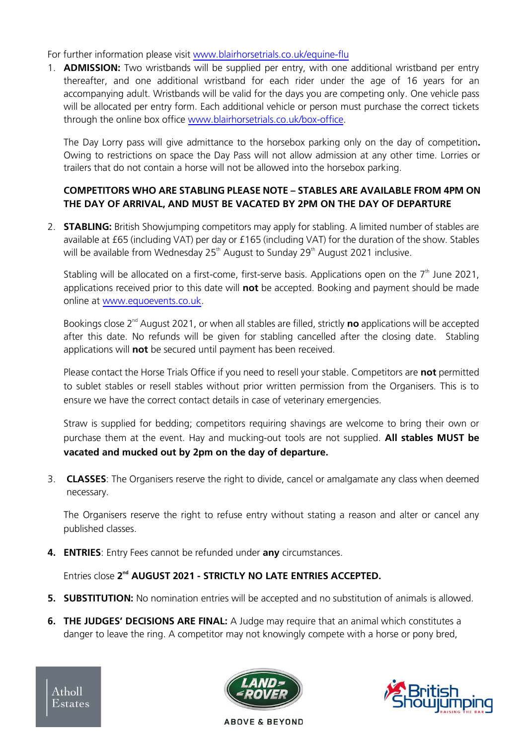For further information please visit [www.blairhorsetrials.co.uk/equine-flu](http://www.blairhorsetrials.co.uk/equine-flu)

1. **ADMISSION:** Two wristbands will be supplied per entry, with one additional wristband per entry thereafter, and one additional wristband for each rider under the age of 16 years for an accompanying adult. Wristbands will be valid for the days you are competing only. One vehicle pass will be allocated per entry form. Each additional vehicle or person must purchase the correct tickets through the online box office [www.blairhorsetrials.co.uk/box-office.](http://www.blairhorsetrials.co.uk/box-office)

The Day Lorry pass will give admittance to the horsebox parking only on the day of competition**.** Owing to restrictions on space the Day Pass will not allow admission at any other time. Lorries or trailers that do not contain a horse will not be allowed into the horsebox parking.

#### **COMPETITORS WHO ARE STABLING PLEASE NOTE – STABLES ARE AVAILABLE FROM 4PM ON THE DAY OF ARRIVAL, AND MUST BE VACATED BY 2PM ON THE DAY OF DEPARTURE**

2. **STABLING:** British Showjumping competitors may apply for stabling. A limited number of stables are available at £65 (including VAT) per day or £165 (including VAT) for the duration of the show. Stables will be available from Wednesday  $25<sup>th</sup>$  August to Sunday  $29<sup>th</sup>$  August 2021 inclusive.

Stabling will be allocated on a first-come, first-serve basis. Applications open on the  $7<sup>th</sup>$  June 2021, applications received prior to this date will **not** be accepted. Booking and payment should be made online at [www.equoevents.co.uk.](http://www.equoevents.co.uk/)

Bookings close 2nd August 2021, or when all stables are filled, strictly **no** applications will be accepted after this date. No refunds will be given for stabling cancelled after the closing date. Stabling applications will **not** be secured until payment has been received.

Please contact the Horse Trials Office if you need to resell your stable. Competitors are **not** permitted to sublet stables or resell stables without prior written permission from the Organisers. This is to ensure we have the correct contact details in case of veterinary emergencies.

Straw is supplied for bedding; competitors requiring shavings are welcome to bring their own or purchase them at the event. Hay and mucking-out tools are not supplied. **All stables MUST be vacated and mucked out by 2pm on the day of departure.**

3. **CLASSES**: The Organisers reserve the right to divide, cancel or amalgamate any class when deemed necessary.

The Organisers reserve the right to refuse entry without stating a reason and alter or cancel any published classes.

**4. ENTRIES**: Entry Fees cannot be refunded under **any** circumstances.

Entries close 2<sup>nd</sup> AUGUST 2021 - STRICTLY NO LATE ENTRIES ACCEPTED.

- **5. SUBSTITUTION:** No nomination entries will be accepted and no substitution of animals is allowed.
- **6. THE JUDGES' DECISIONS ARE FINAL:** A Judge may require that an animal which constitutes a danger to leave the ring. A competitor may not knowingly compete with a horse or pony bred,



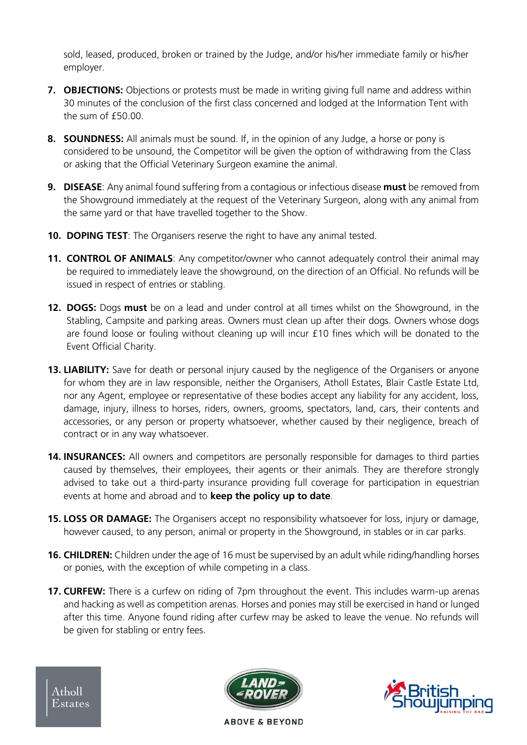sold, leased, produced, broken or trained by the Judge, and/or his/her immediate family or his/her employer.

- **7. OBJECTIONS:** Objections or protests must be made in writing giving full name and address within 30 minutes of the conclusion of the first class concerned and lodged at the Information Tent with the sum of  $f50.00$ .
- **8. SOUNDNESS:** All animals must be sound. If, in the opinion of any Judge, a horse or pony is considered to be unsound, the Competitor will be given the option of withdrawing from the Class or asking that the Official Veterinary Surgeon examine the animal.
- **9. DISEASE**: Any animal found suffering from a contagious or infectious disease **must** be removed from the Showground immediately at the request of the Veterinary Surgeon, along with any animal from the same yard or that have travelled together to the Show.
- **10. DOPING TEST**: The Organisers reserve the right to have any animal tested.
- **11. CONTROL OF ANIMALS**: Any competitor/owner who cannot adequately control their animal may be required to immediately leave the showground, on the direction of an Official. No refunds will be issued in respect of entries or stabling.
- **12. DOGS:** Dogs **must** be on a lead and under control at all times whilst on the Showground, in the Stabling, Campsite and parking areas. Owners must clean up after their dogs. Owners whose dogs are found loose or fouling without cleaning up will incur £10 fines which will be donated to the Event Official Charity.
- **13. LIABILITY:** Save for death or personal injury caused by the negligence of the Organisers or anyone for whom they are in law responsible, neither the Organisers, Atholl Estates, Blair Castle Estate Ltd, nor any Agent, employee or representative of these bodies accept any liability for any accident, loss, damage, injury, illness to horses, riders, owners, grooms, spectators, land, cars, their contents and accessories, or any person or property whatsoever, whether caused by their negligence, breach of contract or in any way whatsoever.
- **14. INSURANCES:** All owners and competitors are personally responsible for damages to third parties caused by themselves, their employees, their agents or their animals. They are therefore strongly advised to take out a third-party insurance providing full coverage for participation in equestrian events at home and abroad and to **keep the policy up to date**.
- **15. LOSS OR DAMAGE:** The Organisers accept no responsibility whatsoever for loss, injury or damage, however caused, to any person, animal or property in the Showground, in stables or in car parks.
- **16. CHILDREN:** Children under the age of 16 must be supervised by an adult while riding/handling horses or ponies, with the exception of while competing in a class.
- **17. CURFEW:** There is a curfew on riding of 7pm throughout the event. This includes warm-up arenas and hacking as well as competition arenas. Horses and ponies may still be exercised in hand or lunged after this time. Anyone found riding after curfew may be asked to leave the venue. No refunds will be given for stabling or entry fees.